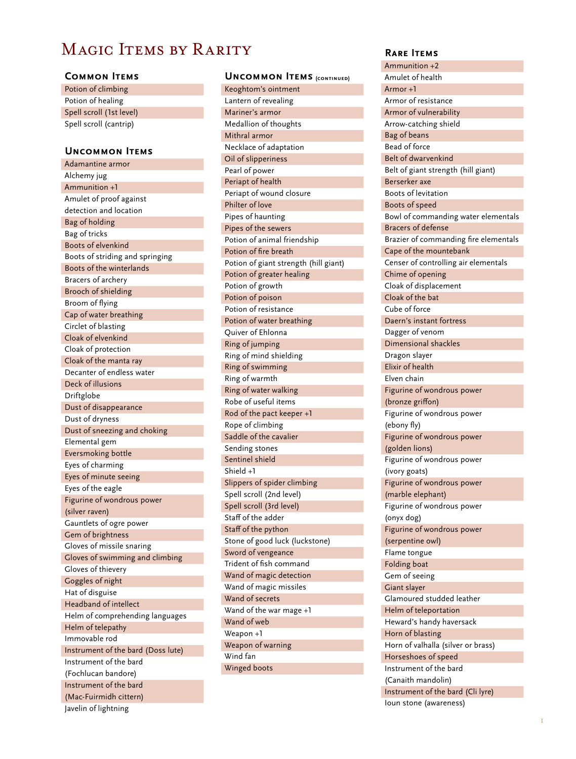# MAGIC ITEMS BY RARITY

## **Common Items**

Potion of climbing Potion of healing Spell scroll (1st level) Spell scroll (cantrip)

# **Uncommon Items**

Adamantine armor Alchemy jug Ammunition +1 Amulet of proof against detection and location Bag of holding Bag of tricks Boots of elvenkind Boots of striding and springing Boots of the winterlands Bracers of archery Brooch of shielding Broom of flying Cap of water breathing Circlet of blasting Cloak of elvenkind Cloak of protection Cloak of the manta ray Decanter of endless water Deck of illusions Driftglobe Dust of disappearance Dust of dryness Dust of sneezing and choking Elemental gem Eversmoking bottle Eyes of charming Eyes of minute seeing Eyes of the eagle Figurine of wondrous power (silver raven) Gauntlets of ogre power Gem of brightness Gloves of missile snaring Gloves of swimming and climbing Gloves of thievery Goggles of night Hat of disguise Headband of intellect Helm of comprehending languages Helm of telepathy Immovable rod Instrument of the bard (Doss lute) Instrument of the bard (Fochlucan bandore) Instrument of the bard (Mac-Fuirmidh cittern) Javelin of lightning

# **Uncommon Items (continued)**

Keoghtom's ointment Lantern of revealing Mariner's armor Medallion of thoughts Mithral armor Necklace of adaptation Oil of slipperiness Pearl of power Periapt of health Periapt of wound closure Philter of love Pipes of haunting Pipes of the sewers Potion of animal friendship Potion of fire breath Potion of giant strength (hill giant) Potion of greater healing Potion of growth Potion of poison Potion of resistance Potion of water breathing Quiver of Ehlonna Ring of jumping Ring of mind shielding Ring of swimming Ring of warmth Ring of water walking Robe of useful items Rod of the pact keeper +1 Rope of climbing Saddle of the cavalier Sending stones Sentinel shield Shield +1 Slippers of spider climbing Spell scroll (2nd level) Spell scroll (3rd level) Staff of the adder Staff of the python Stone of good luck (luckstone) Sword of vengeance Trident of fish command Wand of magic detection Wand of magic missiles Wand of secrets Wand of the war mage +1 Wand of web Weapon +1 Weapon of warning Wind fan Winged boots

#### **Rare Items**

Ammunition +2 Amulet of health Armor +1 Armor of resistance Armor of vulnerability Arrow-catching shield Bag of beans Bead of force Belt of dwarvenkind Belt of giant strength (hill giant) Berserker axe Boots of levitation Boots of speed Bowl of commanding water elementals Bracers of defense Brazier of commanding fire elementals Cape of the mountebank Censer of controlling air elementals Chime of opening Cloak of displacement Cloak of the bat Cube of force Daern's instant fortress Dagger of venom Dimensional shackles Dragon slayer Elixir of health Elven chain Figurine of wondrous power (bronze griffon) Figurine of wondrous power (ebony fly) Figurine of wondrous power (golden lions) Figurine of wondrous power (ivory goats) Figurine of wondrous power (marble elephant) Figurine of wondrous power (onyx dog) Figurine of wondrous power (serpentine owl) Flame tongue Folding boat Gem of seeing Giant slayer Glamoured studded leather Helm of teleportation Heward's handy haversack Horn of blasting Horn of valhalla (silver or brass) Horseshoes of speed Instrument of the bard (Canaith mandolin) Instrument of the bard (Cli lyre) Ioun stone (awareness)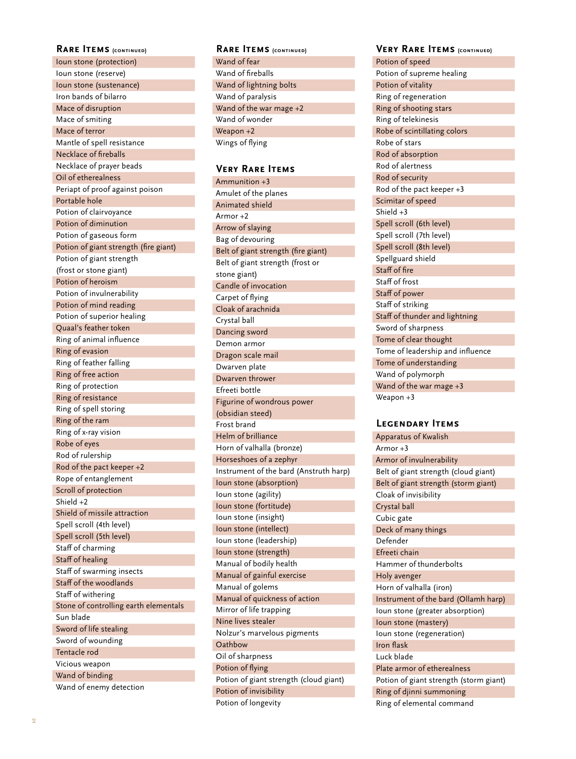#### **RARE ITEMS** (CONTINUED)

Ioun stone (protection) Ioun stone (reserve) Ioun stone (sustenance) Iron bands of bilarro Mace of disruption Mace of smiting Mace of terror Mantle of spell resistance Necklace of fireballs Necklace of prayer beads Oil of etherealness Periapt of proof against poison Portable hole Potion of clairvoyance Potion of diminution Potion of gaseous form Potion of giant strength (fire giant) Potion of giant strength (frost or stone giant) Potion of heroism Potion of invulnerability Potion of mind reading Potion of superior healing Quaal's feather token Ring of animal influence Ring of evasion Ring of feather falling Ring of free action Ring of protection Ring of resistance Ring of spell storing Ring of the ram Ring of x-ray vision Robe of eyes Rod of rulership Rod of the pact keeper +2 Rope of entanglement Scroll of protection Shield +2 Shield of missile attraction Spell scroll (4th level) Spell scroll (5th level) Staff of charming Staff of healing Staff of swarming insects Staff of the woodlands Staff of withering Stone of controlling earth elementals Sun blade Sword of life stealing Sword of wounding Tentacle rod Vicious weapon Wand of binding Wand of enemy detection

# **RARE ITEMS** (CONTINUED)

Wand of fear Wand of fireballs Wand of lightning bolts Wand of paralysis Wand of the war mage +2 Wand of wonder Weapon +2 Wings of flying

#### **Very Rare Items**

Ammunition +3 Amulet of the planes Animated shield Armor +2 Arrow of slaying Bag of devouring Belt of giant strength (fire giant) Belt of giant strength (frost or stone giant) Candle of invocation Carpet of flying Cloak of arachnida Crystal ball Dancing sword Demon armor Dragon scale mail Dwarven plate Dwarven thrower Efreeti bottle Figurine of wondrous power (obsidian steed) Frost brand Helm of brilliance Horn of valhalla (bronze) Horseshoes of a zephyr Instrument of the bard (Anstruth harp) Ioun stone (absorption) Ioun stone (agility) Ioun stone (fortitude) Ioun stone (insight) Ioun stone (intellect) Ioun stone (leadership) Ioun stone (strength) Manual of bodily health Manual of gainful exercise Manual of golems Manual of quickness of action Mirror of life trapping Nine lives stealer Nolzur's marvelous pigments **Oathbow** Oil of sharpness Potion of flying Potion of giant strength (cloud giant) Potion of invisibility Potion of longevity

#### **Very Rare Items (continued) (continued) (continued)**

Potion of speed Potion of supreme healing Potion of vitality Ring of regeneration Ring of shooting stars Ring of telekinesis Robe of scintillating colors Robe of stars Rod of absorption Rod of alertness Rod of security Rod of the pact keeper +3 Scimitar of speed Shield +3 Spell scroll (6th level) Spell scroll (7th level) Spell scroll (8th level) Spellguard shield Staff of fire Staff of frost Staff of power Staff of striking Staff of thunder and lightning Sword of sharpness Tome of clear thought Tome of leadership and influence Tome of understanding Wand of polymorph Wand of the war mage +3 Weapon +3

## **Legendary Items**

Apparatus of Kwalish Armor +3 Armor of invulnerability Belt of giant strength (cloud giant) Belt of giant strength (storm giant) Cloak of invisibility Crystal ball Cubic gate Deck of many things Defender Efreeti chain Hammer of thunderbolts Holy avenger Horn of valhalla (iron) Instrument of the bard (Ollamh harp) Ioun stone (greater absorption) Ioun stone (mastery) Ioun stone (regeneration) Iron flask Luck blade Plate armor of etherealness Potion of giant strength (storm giant) Ring of djinni summoning Ring of elemental command